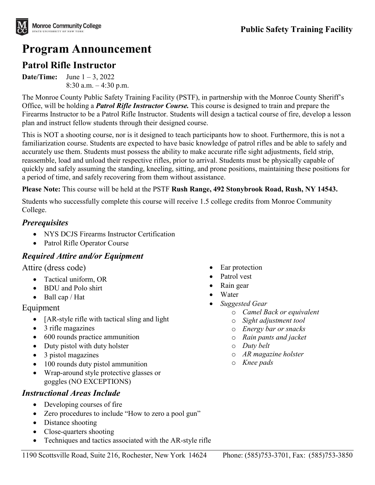# **Program Announcement**

# **Patrol Rifle Instructor**

**Date/Time:** June  $1 - 3$ , 2022 8:30 a.m. – 4:30 p.m.

The Monroe County Public Safety Training Facility (PSTF), in partnership with the Monroe County Sheriff's Office, will be holding a *Patrol Rifle Instructor Course.* This course is designed to train and prepare the Firearms Instructor to be a Patrol Rifle Instructor. Students will design a tactical course of fire, develop a lesson plan and instruct fellow students through their designed course.

This is NOT a shooting course, nor is it designed to teach participants how to shoot. Furthermore, this is not a familiarization course. Students are expected to have basic knowledge of patrol rifles and be able to safely and accurately use them. Students must possess the ability to make accurate rifle sight adjustments, field strip, reassemble, load and unload their respective rifles, prior to arrival. Students must be physically capable of quickly and safely assuming the standing, kneeling, sitting, and prone positions, maintaining these positions for a period of time, and safely recovering from them without assistance.

#### **Please Note:** This course will be held at the PSTF **Rush Range, 492 Stonybrook Road, Rush, NY 14543.**

Students who successfully complete this course will receive 1.5 college credits from Monroe Community College.

#### *Prerequisites*

- NYS DCJS Firearms Instructor Certification
- Patrol Rifle Operator Course

## *Required Attire and/or Equipment*

#### Attire (dress code)

- Tactical uniform, OR
- BDU and Polo shirt
- Ball cap / Hat

#### Equipment

- [AR-style rifle with tactical sling and light
- 3 rifle magazines
- 600 rounds practice ammunition
- Duty pistol with duty holster
- 3 pistol magazines
- 100 rounds duty pistol ammunition
- Wrap-around style protective glasses or goggles (NO EXCEPTIONS)

## *Instructional Areas Include*

- Developing courses of fire
- Zero procedures to include "How to zero a pool gun"
- Distance shooting
- Close-quarters shooting
- Techniques and tactics associated with the AR-style rifle
- Ear protection
- Patrol vest
- Rain gear
- Water
- *Suggested Gear* 
	- o *Camel Back or equivalent*
	- o *Sight adjustment tool*
	- o *Energy bar or snacks*
	- o *Rain pants and jacket*
	- o *Duty belt*
	- o *AR magazine holster*
	- o *Knee pads*